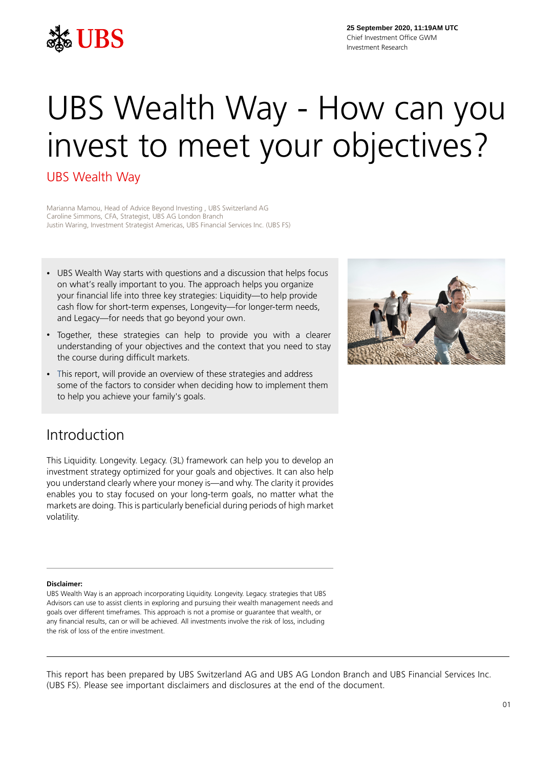

**25 September 2020, 11:19AM UTC** Chief Investment Office GWM Investment Research

# UBS Wealth Way - How can you invest to meet your objectives?

### UBS Wealth Way

Marianna Mamou, Head of Advice Beyond Investing , UBS Switzerland AG Caroline Simmons, CFA, Strategist, UBS AG London Branch Justin Waring, Investment Strategist Americas, UBS Financial Services Inc. (UBS FS)

- UBS Wealth Way starts with questions and a discussion that helps focus on what's really important to you. The approach helps you organize your financial life into three key strategies: Liquidity—to help provide cash flow for short-term expenses, Longevity—for longer-term needs, and Legacy—for needs that go beyond your own.
- Together, these strategies can help to provide you with a clearer understanding of your objectives and the context that you need to stay the course during difficult markets.
- This report, will provide an overview of these strategies and address some of the factors to consider when deciding how to implement them to help you achieve your family's goals.



## Introduction

This Liquidity. Longevity. Legacy. (3L) framework can help you to develop an investment strategy optimized for your goals and objectives. It can also help you understand clearly where your money is—and why. The clarity it provides enables you to stay focused on your long-term goals, no matter what the markets are doing. This is particularly beneficial during periods of high market volatility.

#### **Disclaimer:**

UBS Wealth Way is an approach incorporating Liquidity. Longevity. Legacy. strategies that UBS Advisors can use to assist clients in exploring and pursuing their wealth management needs and goals over different timeframes. This approach is not a promise or guarantee that wealth, or any financial results, can or will be achieved. All investments involve the risk of loss, including the risk of loss of the entire investment.

This report has been prepared by UBS Switzerland AG and UBS AG London Branch and UBS Financial Services Inc. (UBS FS). Please see important disclaimers and disclosures at the end of the document.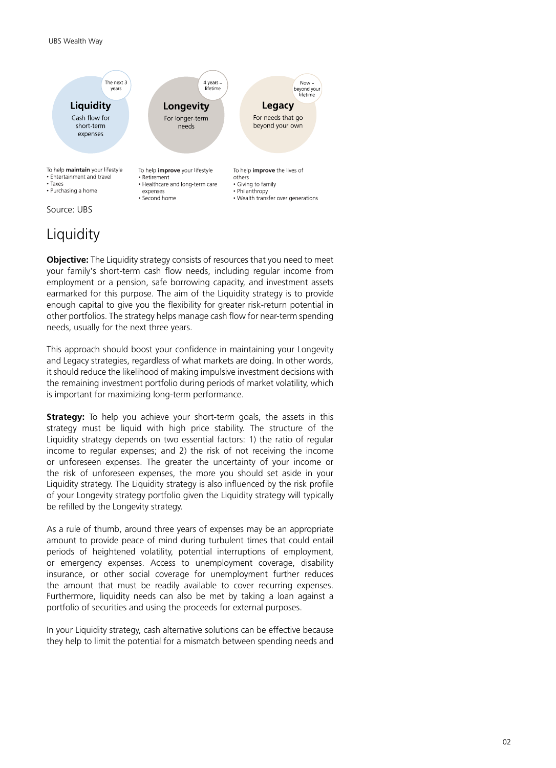

# **Liquidity**

**Objective:** The Liquidity strategy consists of resources that you need to meet your family's short-term cash flow needs, including regular income from employment or a pension, safe borrowing capacity, and investment assets earmarked for this purpose. The aim of the Liquidity strategy is to provide enough capital to give you the flexibility for greater risk-return potential in other portfolios. The strategy helps manage cash flow for near-term spending needs, usually for the next three years.

This approach should boost your confidence in maintaining your Longevity and Legacy strategies, regardless of what markets are doing. In other words, it should reduce the likelihood of making impulsive investment decisions with the remaining investment portfolio during periods of market volatility, which is important for maximizing long-term performance.

**Strategy:** To help you achieve your short-term goals, the assets in this strategy must be liquid with high price stability. The structure of the Liquidity strategy depends on two essential factors: 1) the ratio of regular income to regular expenses; and 2) the risk of not receiving the income or unforeseen expenses. The greater the uncertainty of your income or the risk of unforeseen expenses, the more you should set aside in your Liquidity strategy. The Liquidity strategy is also influenced by the risk profile of your Longevity strategy portfolio given the Liquidity strategy will typically be refilled by the Longevity strategy.

As a rule of thumb, around three years of expenses may be an appropriate amount to provide peace of mind during turbulent times that could entail periods of heightened volatility, potential interruptions of employment, or emergency expenses. Access to unemployment coverage, disability insurance, or other social coverage for unemployment further reduces the amount that must be readily available to cover recurring expenses. Furthermore, liquidity needs can also be met by taking a loan against a portfolio of securities and using the proceeds for external purposes.

In your Liquidity strategy, cash alternative solutions can be effective because they help to limit the potential for a mismatch between spending needs and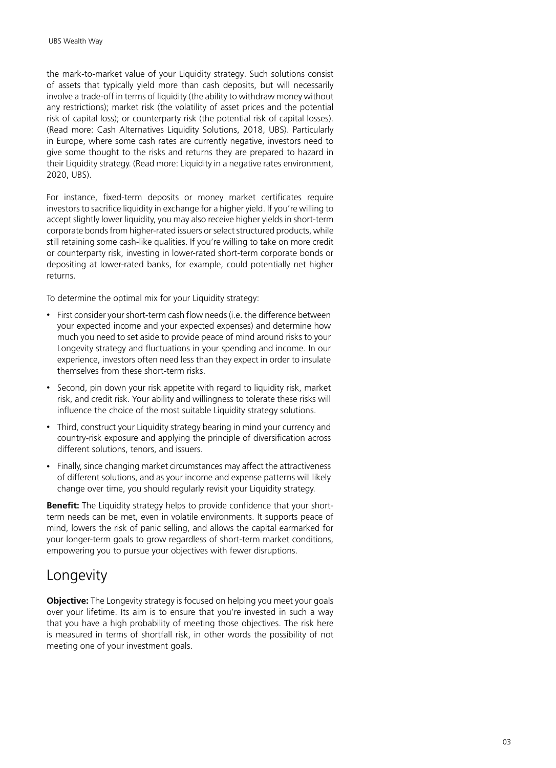the mark-to-market value of your Liquidity strategy. Such solutions consist of assets that typically yield more than cash deposits, but will necessarily involve a trade-off in terms of liquidity (the ability to withdraw money without any restrictions); market risk (the volatility of asset prices and the potential risk of capital loss); or counterparty risk (the potential risk of capital losses). (Read more: Cash Alternatives Liquidity Solutions, 2018, UBS). Particularly in Europe, where some cash rates are currently negative, investors need to give some thought to the risks and returns they are prepared to hazard in their Liquidity strategy. (Read more: Liquidity in a negative rates environment, 2020, UBS).

For instance, fixed-term deposits or money market certificates require investors to sacrifice liquidity in exchange for a higher yield. If you're willing to accept slightly lower liquidity, you may also receive higher yields in short-term corporate bonds from higher-rated issuers or select structured products, while still retaining some cash-like qualities. If you're willing to take on more credit or counterparty risk, investing in lower-rated short-term corporate bonds or depositing at lower-rated banks, for example, could potentially net higher returns.

To determine the optimal mix for your Liquidity strategy:

- First consider your short-term cash flow needs (i.e. the difference between your expected income and your expected expenses) and determine how much you need to set aside to provide peace of mind around risks to your Longevity strategy and fluctuations in your spending and income. In our experience, investors often need less than they expect in order to insulate themselves from these short-term risks.
- Second, pin down your risk appetite with regard to liquidity risk, market risk, and credit risk. Your ability and willingness to tolerate these risks will influence the choice of the most suitable Liquidity strategy solutions.
- Third, construct your Liquidity strategy bearing in mind your currency and country-risk exposure and applying the principle of diversification across different solutions, tenors, and issuers.
- Finally, since changing market circumstances may affect the attractiveness of different solutions, and as your income and expense patterns will likely change over time, you should regularly revisit your Liquidity strategy.

**Benefit:** The Liquidity strategy helps to provide confidence that your shortterm needs can be met, even in volatile environments. It supports peace of mind, lowers the risk of panic selling, and allows the capital earmarked for your longer-term goals to grow regardless of short-term market conditions, empowering you to pursue your objectives with fewer disruptions.

## Longevity

**Objective:** The Longevity strategy is focused on helping you meet your goals over your lifetime. Its aim is to ensure that you're invested in such a way that you have a high probability of meeting those objectives. The risk here is measured in terms of shortfall risk, in other words the possibility of not meeting one of your investment goals.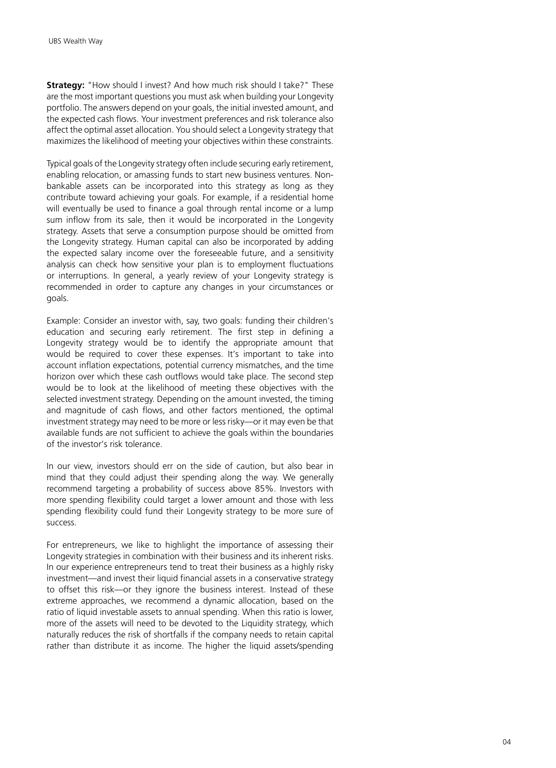**Strategy:** "How should I invest? And how much risk should I take?" These are the most important questions you must ask when building your Longevity portfolio. The answers depend on your goals, the initial invested amount, and the expected cash flows. Your investment preferences and risk tolerance also affect the optimal asset allocation. You should select a Longevity strategy that maximizes the likelihood of meeting your objectives within these constraints.

Typical goals of the Longevity strategy often include securing early retirement, enabling relocation, or amassing funds to start new business ventures. Nonbankable assets can be incorporated into this strategy as long as they contribute toward achieving your goals. For example, if a residential home will eventually be used to finance a goal through rental income or a lump sum inflow from its sale, then it would be incorporated in the Longevity strategy. Assets that serve a consumption purpose should be omitted from the Longevity strategy. Human capital can also be incorporated by adding the expected salary income over the foreseeable future, and a sensitivity analysis can check how sensitive your plan is to employment fluctuations or interruptions. In general, a yearly review of your Longevity strategy is recommended in order to capture any changes in your circumstances or goals.

Example: Consider an investor with, say, two goals: funding their children's education and securing early retirement. The first step in defining a Longevity strategy would be to identify the appropriate amount that would be required to cover these expenses. It's important to take into account inflation expectations, potential currency mismatches, and the time horizon over which these cash outflows would take place. The second step would be to look at the likelihood of meeting these objectives with the selected investment strategy. Depending on the amount invested, the timing and magnitude of cash flows, and other factors mentioned, the optimal investment strategy may need to be more or less risky—or it may even be that available funds are not sufficient to achieve the goals within the boundaries of the investor's risk tolerance.

In our view, investors should err on the side of caution, but also bear in mind that they could adjust their spending along the way. We generally recommend targeting a probability of success above 85%. Investors with more spending flexibility could target a lower amount and those with less spending flexibility could fund their Longevity strategy to be more sure of success.

For entrepreneurs, we like to highlight the importance of assessing their Longevity strategies in combination with their business and its inherent risks. In our experience entrepreneurs tend to treat their business as a highly risky investment—and invest their liquid financial assets in a conservative strategy to offset this risk—or they ignore the business interest. Instead of these extreme approaches, we recommend a dynamic allocation, based on the ratio of liquid investable assets to annual spending. When this ratio is lower, more of the assets will need to be devoted to the Liquidity strategy, which naturally reduces the risk of shortfalls if the company needs to retain capital rather than distribute it as income. The higher the liquid assets/spending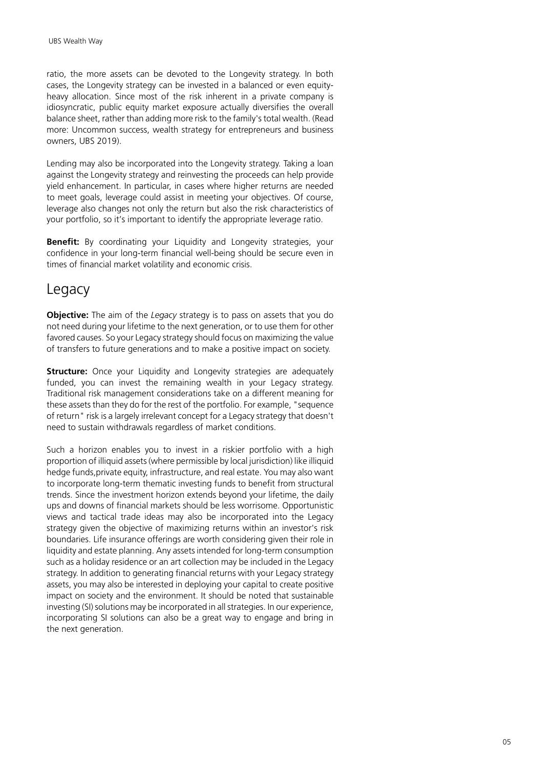ratio, the more assets can be devoted to the Longevity strategy. In both cases, the Longevity strategy can be invested in a balanced or even equityheavy allocation. Since most of the risk inherent in a private company is idiosyncratic, public equity market exposure actually diversifies the overall balance sheet, rather than adding more risk to the family's total wealth. (Read more: Uncommon success, wealth strategy for entrepreneurs and business owners, UBS 2019).

Lending may also be incorporated into the Longevity strategy. Taking a loan against the Longevity strategy and reinvesting the proceeds can help provide yield enhancement. In particular, in cases where higher returns are needed to meet goals, leverage could assist in meeting your objectives. Of course, leverage also changes not only the return but also the risk characteristics of your portfolio, so it's important to identify the appropriate leverage ratio.

**Benefit:** By coordinating your Liquidity and Longevity strategies, your confidence in your long-term financial well-being should be secure even in times of financial market volatility and economic crisis.

## Legacy

**Objective:** The aim of the *Legacy* strategy is to pass on assets that you do not need during your lifetime to the next generation, or to use them for other favored causes. So your Legacy strategy should focus on maximizing the value of transfers to future generations and to make a positive impact on society.

**Structure:** Once your Liquidity and Longevity strategies are adequately funded, you can invest the remaining wealth in your Legacy strategy. Traditional risk management considerations take on a different meaning for these assets than they do for the rest of the portfolio. For example, "sequence of return" risk is a largely irrelevant concept for a Legacy strategy that doesn't need to sustain withdrawals regardless of market conditions.

Such a horizon enables you to invest in a riskier portfolio with a high proportion of illiquid assets (where permissible by local jurisdiction) like illiquid hedge funds,private equity, infrastructure, and real estate. You may also want to incorporate long-term thematic investing funds to benefit from structural trends. Since the investment horizon extends beyond your lifetime, the daily ups and downs of financial markets should be less worrisome. Opportunistic views and tactical trade ideas may also be incorporated into the Legacy strategy given the objective of maximizing returns within an investor's risk boundaries. Life insurance offerings are worth considering given their role in liquidity and estate planning. Any assets intended for long-term consumption such as a holiday residence or an art collection may be included in the Legacy strategy. In addition to generating financial returns with your Legacy strategy assets, you may also be interested in deploying your capital to create positive impact on society and the environment. It should be noted that sustainable investing (SI) solutions may be incorporated in all strategies. In our experience, incorporating SI solutions can also be a great way to engage and bring in the next generation.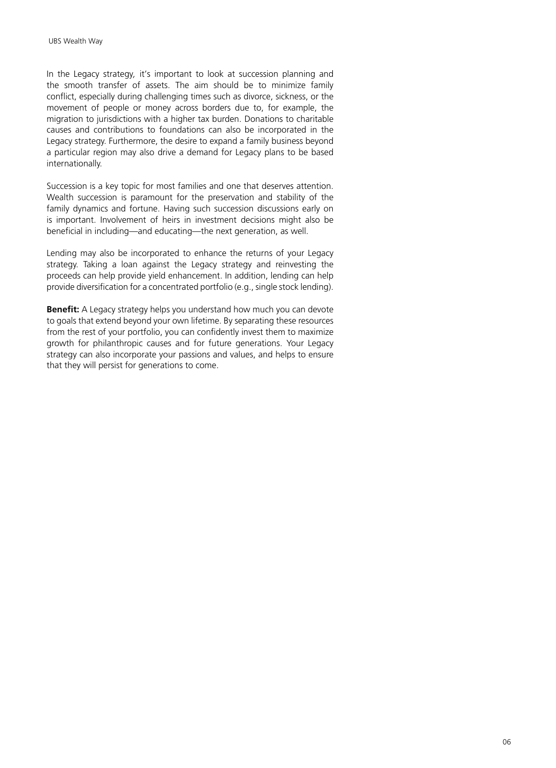In the Legacy strategy*,* it's important to look at succession planning and the smooth transfer of assets. The aim should be to minimize family conflict, especially during challenging times such as divorce, sickness, or the movement of people or money across borders due to, for example, the migration to jurisdictions with a higher tax burden. Donations to charitable causes and contributions to foundations can also be incorporated in the Legacy strategy. Furthermore, the desire to expand a family business beyond a particular region may also drive a demand for Legacy plans to be based internationally.

Succession is a key topic for most families and one that deserves attention. Wealth succession is paramount for the preservation and stability of the family dynamics and fortune. Having such succession discussions early on is important. Involvement of heirs in investment decisions might also be beneficial in including—and educating—the next generation, as well.

Lending may also be incorporated to enhance the returns of your Legacy strategy. Taking a loan against the Legacy strategy and reinvesting the proceeds can help provide yield enhancement. In addition, lending can help provide diversification for a concentrated portfolio (e.g., single stock lending).

**Benefit:** A Legacy strategy helps you understand how much you can devote to goals that extend beyond your own lifetime. By separating these resources from the rest of your portfolio, you can confidently invest them to maximize growth for philanthropic causes and for future generations. Your Legacy strategy can also incorporate your passions and values, and helps to ensure that they will persist for generations to come.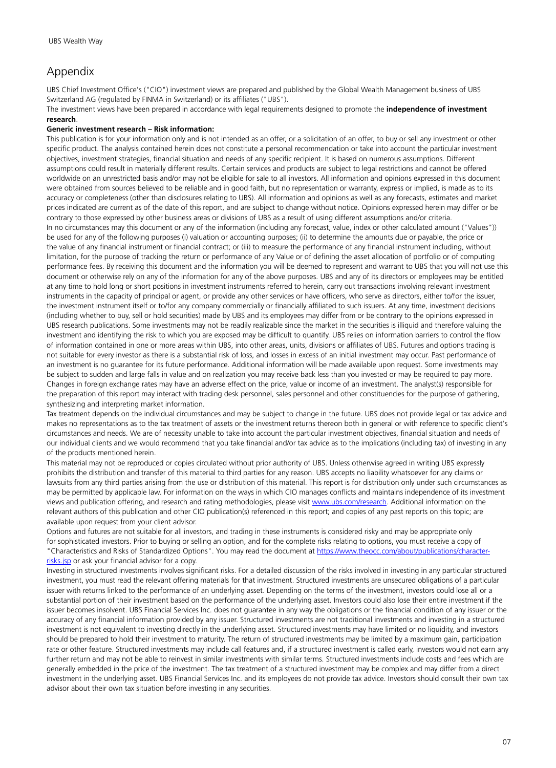#### Appendix

UBS Chief Investment Office's ("CIO") investment views are prepared and published by the Global Wealth Management business of UBS Switzerland AG (regulated by FINMA in Switzerland) or its affiliates ("UBS").

The investment views have been prepared in accordance with legal requirements designed to promote the **independence of investment research**.

#### **Generic investment research – Risk information:**

This publication is for your information only and is not intended as an offer, or a solicitation of an offer, to buy or sell any investment or other specific product. The analysis contained herein does not constitute a personal recommendation or take into account the particular investment objectives, investment strategies, financial situation and needs of any specific recipient. It is based on numerous assumptions. Different assumptions could result in materially different results. Certain services and products are subject to legal restrictions and cannot be offered worldwide on an unrestricted basis and/or may not be eligible for sale to all investors. All information and opinions expressed in this document were obtained from sources believed to be reliable and in good faith, but no representation or warranty, express or implied, is made as to its accuracy or completeness (other than disclosures relating to UBS). All information and opinions as well as any forecasts, estimates and market prices indicated are current as of the date of this report, and are subject to change without notice. Opinions expressed herein may differ or be contrary to those expressed by other business areas or divisions of UBS as a result of using different assumptions and/or criteria. In no circumstances may this document or any of the information (including any forecast, value, index or other calculated amount ("Values")) be used for any of the following purposes (i) valuation or accounting purposes; (ii) to determine the amounts due or payable, the price or the value of any financial instrument or financial contract; or (iii) to measure the performance of any financial instrument including, without limitation, for the purpose of tracking the return or performance of any Value or of defining the asset allocation of portfolio or of computing performance fees. By receiving this document and the information you will be deemed to represent and warrant to UBS that you will not use this document or otherwise rely on any of the information for any of the above purposes. UBS and any of its directors or employees may be entitled at any time to hold long or short positions in investment instruments referred to herein, carry out transactions involving relevant investment instruments in the capacity of principal or agent, or provide any other services or have officers, who serve as directors, either to/for the issuer, the investment instrument itself or to/for any company commercially or financially affiliated to such issuers. At any time, investment decisions (including whether to buy, sell or hold securities) made by UBS and its employees may differ from or be contrary to the opinions expressed in UBS research publications. Some investments may not be readily realizable since the market in the securities is illiquid and therefore valuing the investment and identifying the risk to which you are exposed may be difficult to quantify. UBS relies on information barriers to control the flow of information contained in one or more areas within UBS, into other areas, units, divisions or affiliates of UBS. Futures and options trading is not suitable for every investor as there is a substantial risk of loss, and losses in excess of an initial investment may occur. Past performance of an investment is no guarantee for its future performance. Additional information will be made available upon request. Some investments may be subject to sudden and large falls in value and on realization you may receive back less than you invested or may be required to pay more. Changes in foreign exchange rates may have an adverse effect on the price, value or income of an investment. The analyst(s) responsible for the preparation of this report may interact with trading desk personnel, sales personnel and other constituencies for the purpose of gathering, synthesizing and interpreting market information.

Tax treatment depends on the individual circumstances and may be subject to change in the future. UBS does not provide legal or tax advice and makes no representations as to the tax treatment of assets or the investment returns thereon both in general or with reference to specific client's circumstances and needs. We are of necessity unable to take into account the particular investment objectives, financial situation and needs of our individual clients and we would recommend that you take financial and/or tax advice as to the implications (including tax) of investing in any of the products mentioned herein.

This material may not be reproduced or copies circulated without prior authority of UBS. Unless otherwise agreed in writing UBS expressly prohibits the distribution and transfer of this material to third parties for any reason. UBS accepts no liability whatsoever for any claims or lawsuits from any third parties arising from the use or distribution of this material. This report is for distribution only under such circumstances as may be permitted by applicable law. For information on the ways in which CIO manages conflicts and maintains independence of its investment views and publication offering, and research and rating methodologies, please visit [www.ubs.com/research.](http://www.ubs.com/research) Additional information on the relevant authors of this publication and other CIO publication(s) referenced in this report; and copies of any past reports on this topic; are available upon request from your client advisor.

Options and futures are not suitable for all investors, and trading in these instruments is considered risky and may be appropriate only for sophisticated investors. Prior to buying or selling an option, and for the complete risks relating to options, you must receive a copy of "Characteristics and Risks of Standardized Options". You may read the document at [https://www.theocc.com/about/publications/character](https://www.theocc.com/about/publications/character-risks.jsp)[risks.jsp](https://www.theocc.com/about/publications/character-risks.jsp) or ask your financial advisor for a copy.

Investing in structured investments involves significant risks. For a detailed discussion of the risks involved in investing in any particular structured investment, you must read the relevant offering materials for that investment. Structured investments are unsecured obligations of a particular issuer with returns linked to the performance of an underlying asset. Depending on the terms of the investment, investors could lose all or a substantial portion of their investment based on the performance of the underlying asset. Investors could also lose their entire investment if the issuer becomes insolvent. UBS Financial Services Inc. does not guarantee in any way the obligations or the financial condition of any issuer or the accuracy of any financial information provided by any issuer. Structured investments are not traditional investments and investing in a structured investment is not equivalent to investing directly in the underlying asset. Structured investments may have limited or no liquidity, and investors should be prepared to hold their investment to maturity. The return of structured investments may be limited by a maximum gain, participation rate or other feature. Structured investments may include call features and, if a structured investment is called early, investors would not earn any further return and may not be able to reinvest in similar investments with similar terms. Structured investments include costs and fees which are generally embedded in the price of the investment. The tax treatment of a structured investment may be complex and may differ from a direct investment in the underlying asset. UBS Financial Services Inc. and its employees do not provide tax advice. Investors should consult their own tax advisor about their own tax situation before investing in any securities.